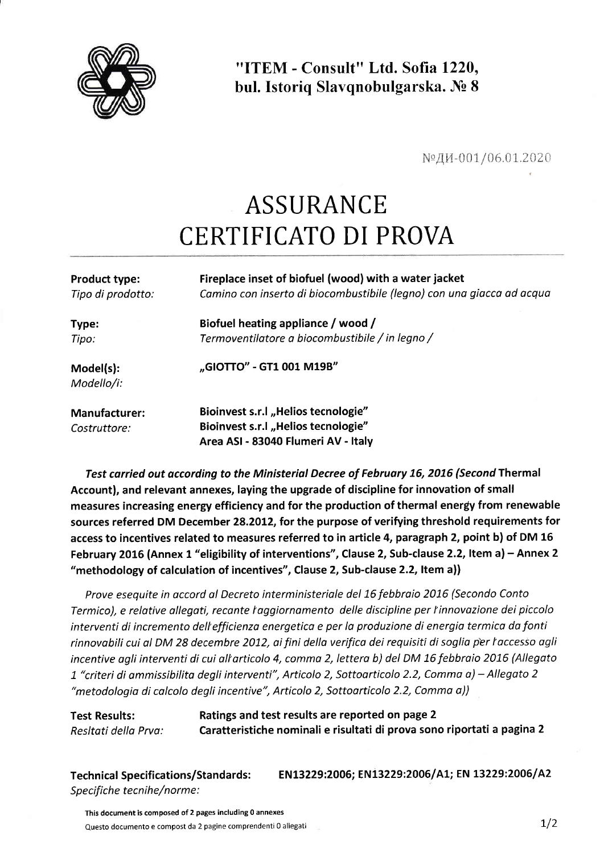

"ITEM - Consult" Ltd. Sofia 1220, bul. Istoriq Slavqnobulgarska. No 8

NºДИ-001/06.01.2020

# ASSURANCE CERTIFICATO DI PROVA

| <b>Product type:</b>    | Fireplace inset of biofuel (wood) with a water jacket<br>Camino con inserto di biocombustibile (legno) con una giacca ad acqua |  |  |  |
|-------------------------|--------------------------------------------------------------------------------------------------------------------------------|--|--|--|
| Tipo di prodotto:       |                                                                                                                                |  |  |  |
| Type:                   | Biofuel heating appliance / wood /                                                                                             |  |  |  |
| Tipo:                   | Termoventilatore a biocombustibile / in legno /                                                                                |  |  |  |
| Model(s):<br>Modello/i: | "GIOTTO" - GT1 001 M19B"                                                                                                       |  |  |  |
| <b>Manufacturer:</b>    | Bioinvest s.r.l "Helios tecnologie"                                                                                            |  |  |  |
| Costruttore:            | Bioinvest s.r.l "Helios tecnologie"<br>Area ASI - 83040 Flumeri AV - Italy                                                     |  |  |  |

Test carried out according to the Ministerial Decree of February 16, 2016 (Second Thermal Account), and relevant annexes, laying the upgrade of discipline for innovation of small measures increasing energy efficiency and for the production of thermal energy from renewable sources referred DM December 28.2012, for the purpose of verifying threshold requirements for access to incentives related to measures referred to in article 4, paragraph 2, point b) of DM 16 February 2016 (Annex 1 "eligibility of interventions", Clause 2, Sub-clause 2.2, Item a) - Annex 2 "methodology of calculation of incentives", Clause 2, Sub-clause 2.2, Item a))

Prove esequite in accord al Decreto interministeriale del 16 febbraio 2016 (Secondo Conto Termico), e relative allegati, recante l'aggiornamento delle discipline per l'innovazione dei piccolo interventi di incremento dell'efficienza energetica e per la produzione di energia termica da fonti rinnovabili cui al DM 28 decembre 2012, ai fini della verifica dei requisiti di soglia per l'accesso agli incentive agli interventi di cui all'articolo 4, comma 2, lettera b) del DM 16 febbraio 2016 (Allegato 7 "criteri di ommissibilito degli interventi", Articolo 2, Sottoarticolo 2.2, Comma o)- Allegoto 2 "metodologia di calcolo degli incentive", Articolo 2, Sottoarticolo 2.2, Comma a))

| <b>Test Results:</b> | Ratings and test results are reported on page 2                         |
|----------------------|-------------------------------------------------------------------------|
| Resitati della Prva: | Caratteristiche nominali e risultati di prova sono riportati a pagina 2 |

Technical Specifications/Standards: Specifiche tecnihe/norme: EN13229:2006; EN13229:2006/A1; EN 13229:2006/A2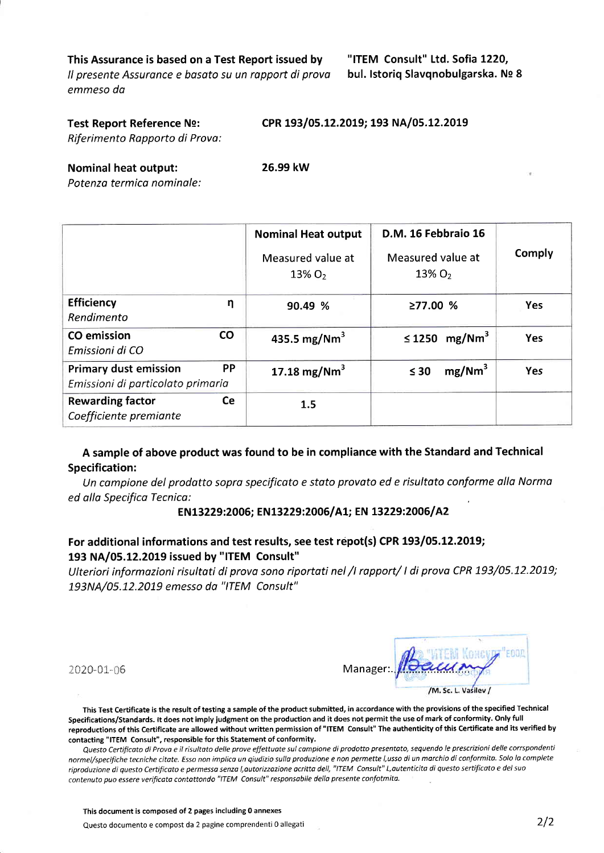This Assurance is based on a Test Report issued by Il presente Assurance e basato su un rapport di prova emmeso da

"ITEM Consult" Ltd. Sofia 1220, bul. Istoriq Slavqnobulgarska. Nº 8

### Test Report Reference Nº:

CPR 193/05.12.2019; 193 NA/05.12.2019

Riferimento Rapporto di Prova:

**Nominal heat output:** 

26.99 kW

Potenza termica nominale:

|                                                                   |               | <b>Nominal Heat output</b><br>Measured value at<br>$13\% O_{2}$ | D.M. 16 Febbraio 16<br>Measured value at<br>$13\% O_2$ | Comply     |
|-------------------------------------------------------------------|---------------|-----------------------------------------------------------------|--------------------------------------------------------|------------|
| <b>Efficiency</b><br>Rendimento                                   | n             | 90.49 %                                                         | 277.00%                                                | <b>Yes</b> |
| <b>CO</b> emission<br>Emissioni di CO                             | $\mathsf{CO}$ | 435.5 mg/Nm <sup>3</sup>                                        | $\leq$ 1250 mg/Nm <sup>3</sup>                         | <b>Yes</b> |
| <b>Primary dust emission</b><br>Emissioni di particolato primaria | <b>PP</b>     | 17.18 mg/Nm <sup>3</sup>                                        | mg/Nm <sup>3</sup><br>$\leq 30$                        | <b>Yes</b> |
| <b>Rewarding factor</b><br>Coefficiente premiante                 | <b>Ce</b>     | 1.5                                                             |                                                        |            |

### A sample of above product was found to be in compliance with the Standard and Technical **Specification:**

Un campione del prodatto sopra specificato e stato provato ed e risultato conforme alla Norma ed alla Specifica Tecnica:

EN13229:2006; EN13229:2006/A1; EN 13229:2006/A2

### For additional informations and test results, see test repot(s) CPR 193/05.12.2019; 193 NA/05.12.2019 issued by "ITEM Consult"

Ulteriori informazioni risultati di prova sono riportati nel /I rapport/ I di prova CPR 193/05.12.2019; 193NA/05.12.2019 emesso da "ITEM Consult"

2020-01-06

Mana

| ger: <mark>.</mark> | $\prime\prime$       |
|---------------------|----------------------|
|                     | /M. Sc. L. Vasilev / |

This Test Certificate is the result of testing a sample of the product submitted, in accordance with the provisions of the specified Technical Specifications/Standards. It does not imply judgment on the production and it does not permit the use of mark of conformity. Only full reproductions of this Certificate are allowed without written permission of "ITEM Consult" The authenticity of this Certificate and its verified by contacting "ITEM Consult", responsible for this Statement of conformity.

Questo Certificato di Prova e il risultato delle prove effettuate sul campione di prodotto presentato, sequendo le prescrizioni delle corrspondenti normel/specifiche tecniche citate. Esso non implica un qiudizio sulla produzione e non permette l,usso di un marchio di conformita. Solo la complete riproduzione di questo Certificato e permessa senza l,autorizzazione acritta dell, "ITEM Consult" L,autenticita di questo sertificato e del suo contenuto puo essere verificata contattondo "ITEM Consult" responsabile della presente confotmita.

This document is composed of 2 pages including 0 annexes

Questo documento e compost da 2 pagine comprendenti 0 allegati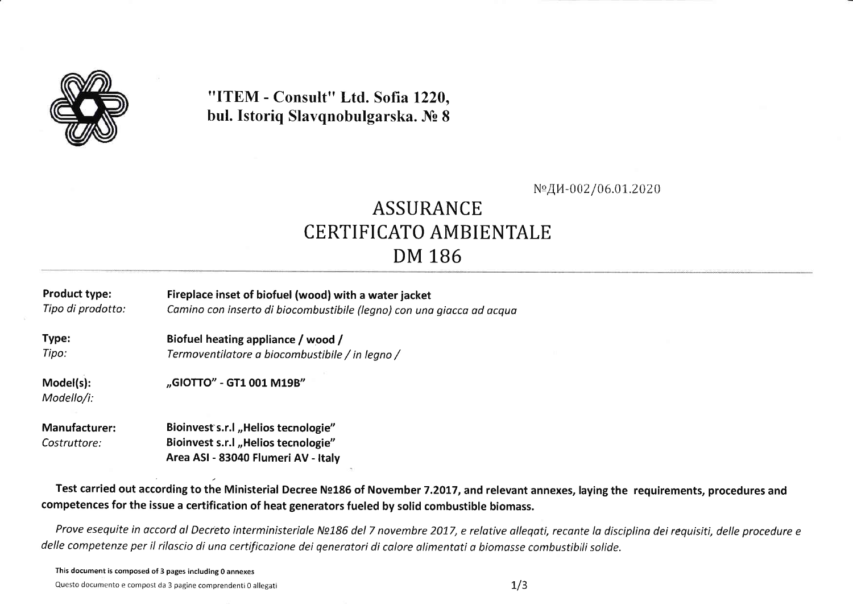

"ITEM - Consult" Ltd. Sofia 1220. bul. Istoriq Slavqnobulgarska. No 8

№ДИ-002/06.01.2020

## **ASSURANCE** CERTIFICATO AMBIENTALE DM 186

**Product type:** Fireplace inset of biofuel (wood) with a water jacket Tipo di prodotto: Camino con inserto di biocombustibile (leano) con una aiacca ad acaua

Type: Biofuel heating appliance / wood / Tipo: Termoventilatore a biocombustibile / in legno /

Model(s): Modello/i: "GIOTTO" - GT1 001 M19B"

**Manufacturer:** Bioinvest s.r.l "Helios tecnologie" Bioinvest s.r.l "Helios tecnologie" Costruttore: Area ASI - 83040 Flumeri AV - Italy

Test carried out according to the Ministerial Decree Nº186 of November 7.2017, and relevant annexes, laying the requirements, procedures and competences for the issue a certification of heat generators fueled by solid combustible biomass.

Prove esequite in accord al Decreto interministeriale Nº186 del 7 novembre 2017, e relative allegati, recante la disciplina dei requisiti, delle procedure e delle competenze per il rilascio di una certificazione dei generatori di calore alimentati a biomasse combustibili solide.

This document is composed of 3 pages including 0 annexes

Questo documento e compost da 3 pagine comprendenti 0 allegati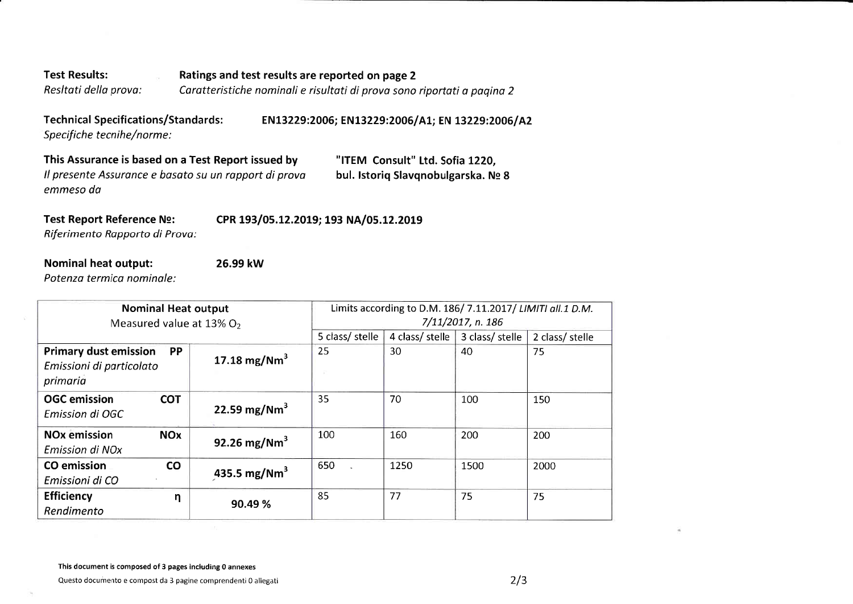#### **Test Results:** Ratings and test results are reported on page 2 Resltati della prova: Caratteristiche nominali e risultati di prova sono riportati a pagina 2

**Technical Specifications/Standards:** EN13229:2006; EN13229:2006/A1; EN 13229:2006/A2 Specifiche tecnihe/norme:

### This Assurance is based on a Test Report issued by

Il presente Assurance e basato su un rapport di prova emmeso da

### Test Report Reference Nº:

CPR 193/05.12.2019; 193 NA/05.12.2019

"ITEM Consult" Ltd. Sofia 1220,

bul. Istoriq Slavqnobulgarska. Nº 8

Riferimento Rapporto di Prova:

### **Nominal heat output:** Potenza termica nominale:

26.99 kW

| <b>Nominal Heat output</b><br>Measured value at $13\%$ O <sub>2</sub>             |                          | Limits according to D.M. 186/7.11.2017/LIMITI all.1 D.M.<br>7/11/2017, n. 186 |                 |                 |                 |
|-----------------------------------------------------------------------------------|--------------------------|-------------------------------------------------------------------------------|-----------------|-----------------|-----------------|
|                                                                                   |                          | 5 class/ stelle                                                               | 4 class/ stelle | 3 class/ stelle | 2 class/ stelle |
| <b>Primary dust emission</b><br><b>PP</b><br>Emissioni di particolato<br>primaria | 17.18 mg/Nm <sup>3</sup> | 25                                                                            | 30              | 40              | 75              |
| <b>COT</b><br><b>OGC</b> emission<br>Emission di OGC                              | 22.59 mg/Nm <sup>3</sup> | 35                                                                            | 70              | 100             | 150             |
| <b>NO<sub>x</sub></b> emission<br><b>NOx</b><br>Emission di NOx                   | 92.26 mg/Nm <sup>3</sup> | 100                                                                           | 160             | 200             | 200             |
| <b>CO</b> emission<br><b>CO</b><br>Emissioni di CO                                | 435.5 mg/Nm <sup>3</sup> | 650                                                                           | 1250            | 1500            | 2000            |
| <b>Efficiency</b><br>η<br>Rendimento                                              | 90.49 %                  | 85                                                                            | 77              | 75              | 75              |

This document is composed of 3 pages including 0 annexes

Questo documento e compost da 3 pagine comprendenti 0 allegati